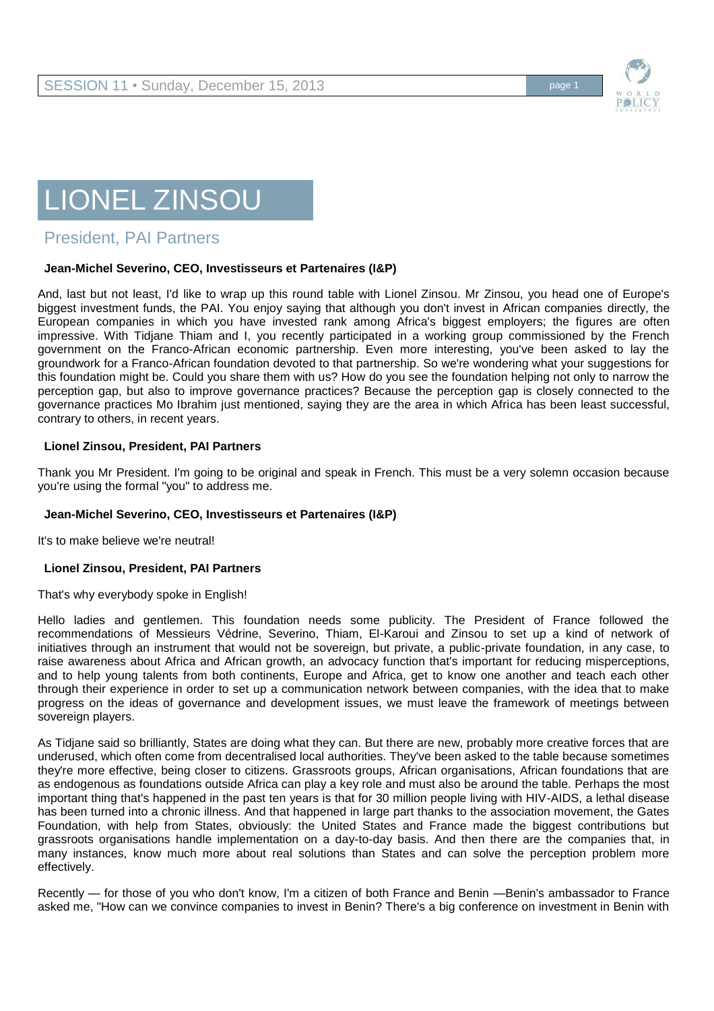

# LIONEL ZINSOU

## President, PAI Partners

#### **Jean-Michel Severino, CEO, Investisseurs et Partenaires (I&P)**

And, last but not least, I'd like to wrap up this round table with Lionel Zinsou. Mr Zinsou, you head one of Europe's biggest investment funds, the PAI. You enjoy saying that although you don't invest in African companies directly, the European companies in which you have invested rank among Africa's biggest employers; the figures are often impressive. With Tidjane Thiam and I, you recently participated in a working group commissioned by the French government on the Franco-African economic partnership. Even more interesting, you've been asked to lay the groundwork for a Franco-African foundation devoted to that partnership. So we're wondering what your suggestions for this foundation might be. Could you share them with us? How do you see the foundation helping not only to narrow the perception gap, but also to improve governance practices? Because the perception gap is closely connected to the governance practices Mo Ibrahim just mentioned, saying they are the area in which Africa has been least successful, contrary to others, in recent years.

#### **Lionel Zinsou, President, PAI Partners**

Thank you Mr President. I'm going to be original and speak in French. This must be a very solemn occasion because you're using the formal "you" to address me.

#### **Jean-Michel Severino, CEO, Investisseurs et Partenaires (I&P)**

It's to make believe we're neutral!

#### **Lionel Zinsou, President, PAI Partners**

That's why everybody spoke in English!

Hello ladies and gentlemen. This foundation needs some publicity. The President of France followed the recommendations of Messieurs Védrine, Severino, Thiam, El-Karoui and Zinsou to set up a kind of network of initiatives through an instrument that would not be sovereign, but private, a public-private foundation, in any case, to raise awareness about Africa and African growth, an advocacy function that's important for reducing misperceptions, and to help young talents from both continents, Europe and Africa, get to know one another and teach each other through their experience in order to set up a communication network between companies, with the idea that to make progress on the ideas of governance and development issues, we must leave the framework of meetings between sovereign players.

As Tidjane said so brilliantly, States are doing what they can. But there are new, probably more creative forces that are underused, which often come from decentralised local authorities. They've been asked to the table because sometimes they're more effective, being closer to citizens. Grassroots groups, African organisations, African foundations that are as endogenous as foundations outside Africa can play a key role and must also be around the table. Perhaps the most important thing that's happened in the past ten years is that for 30 million people living with HIV-AIDS, a lethal disease has been turned into a chronic illness. And that happened in large part thanks to the association movement, the Gates Foundation, with help from States, obviously: the United States and France made the biggest contributions but grassroots organisations handle implementation on a day-to-day basis. And then there are the companies that, in many instances, know much more about real solutions than States and can solve the perception problem more effectively.

Recently — for those of you who don't know, I'm a citizen of both France and Benin —Benin's ambassador to France asked me, "How can we convince companies to invest in Benin? There's a big conference on investment in Benin with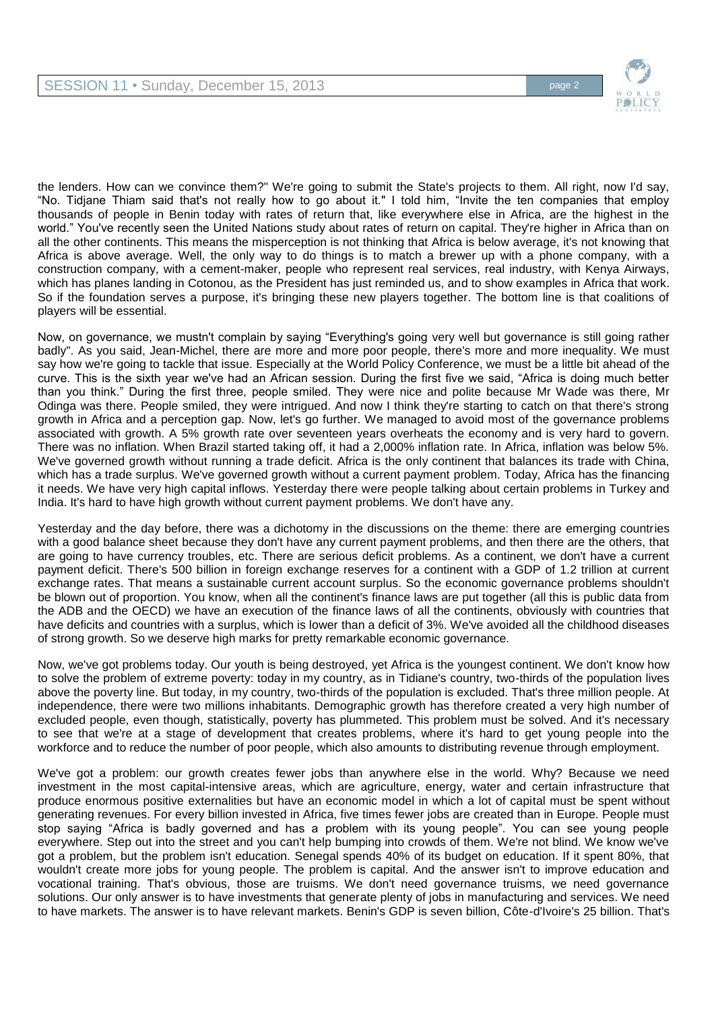

the lenders. How can we convince them?" We're going to submit the State's projects to them. All right, now I'd say, "No. Tidjane Thiam said that's not really how to go about it." I told him, "Invite the ten companies that employ thousands of people in Benin today with rates of return that, like everywhere else in Africa, are the highest in the world." You've recently seen the United Nations study about rates of return on capital. They're higher in Africa than on all the other continents. This means the misperception is not thinking that Africa is below average, it's not knowing that Africa is above average. Well, the only way to do things is to match a brewer up with a phone company, with a construction company, with a cement-maker, people who represent real services, real industry, with Kenya Airways, which has planes landing in Cotonou, as the President has just reminded us, and to show examples in Africa that work. So if the foundation serves a purpose, it's bringing these new players together. The bottom line is that coalitions of players will be essential.

Now, on governance, we mustn't complain by saying "Everything's going very well but governance is still going rather badly". As you said, Jean-Michel, there are more and more poor people, there's more and more inequality. We must say how we're going to tackle that issue. Especially at the World Policy Conference, we must be a little bit ahead of the curve. This is the sixth year we've had an African session. During the first five we said, "Africa is doing much better than you think." During the first three, people smiled. They were nice and polite because Mr Wade was there, Mr Odinga was there. People smiled, they were intrigued. And now I think they're starting to catch on that there's strong growth in Africa and a perception gap. Now, let's go further. We managed to avoid most of the governance problems associated with growth. A 5% growth rate over seventeen years overheats the economy and is very hard to govern. There was no inflation. When Brazil started taking off, it had a 2,000% inflation rate. In Africa, inflation was below 5%. We've governed growth without running a trade deficit. Africa is the only continent that balances its trade with China, which has a trade surplus. We've governed growth without a current payment problem. Today, Africa has the financing it needs. We have very high capital inflows. Yesterday there were people talking about certain problems in Turkey and India. It's hard to have high growth without current payment problems. We don't have any.

Yesterday and the day before, there was a dichotomy in the discussions on the theme: there are emerging countries with a good balance sheet because they don't have any current payment problems, and then there are the others, that are going to have currency troubles, etc. There are serious deficit problems. As a continent, we don't have a current payment deficit. There's 500 billion in foreign exchange reserves for a continent with a GDP of 1.2 trillion at current exchange rates. That means a sustainable current account surplus. So the economic governance problems shouldn't be blown out of proportion. You know, when all the continent's finance laws are put together (all this is public data from the ADB and the OECD) we have an execution of the finance laws of all the continents, obviously with countries that have deficits and countries with a surplus, which is lower than a deficit of 3%. We've avoided all the childhood diseases of strong growth. So we deserve high marks for pretty remarkable economic governance.

Now, we've got problems today. Our youth is being destroyed, yet Africa is the youngest continent. We don't know how to solve the problem of extreme poverty: today in my country, as in Tidiane's country, two-thirds of the population lives above the poverty line. But today, in my country, two-thirds of the population is excluded. That's three million people. At independence, there were two millions inhabitants. Demographic growth has therefore created a very high number of excluded people, even though, statistically, poverty has plummeted. This problem must be solved. And it's necessary to see that we're at a stage of development that creates problems, where it's hard to get young people into the workforce and to reduce the number of poor people, which also amounts to distributing revenue through employment.

We've got a problem: our growth creates fewer jobs than anywhere else in the world. Why? Because we need investment in the most capital-intensive areas, which are agriculture, energy, water and certain infrastructure that produce enormous positive externalities but have an economic model in which a lot of capital must be spent without generating revenues. For every billion invested in Africa, five times fewer jobs are created than in Europe. People must stop saying "Africa is badly governed and has a problem with its young people". You can see young people everywhere. Step out into the street and you can't help bumping into crowds of them. We're not blind. We know we've got a problem, but the problem isn't education. Senegal spends 40% of its budget on education. If it spent 80%, that wouldn't create more jobs for young people. The problem is capital. And the answer isn't to improve education and vocational training. That's obvious, those are truisms. We don't need governance truisms, we need governance solutions. Our only answer is to have investments that generate plenty of jobs in manufacturing and services. We need to have markets. The answer is to have relevant markets. Benin's GDP is seven billion, Côte-d'Ivoire's 25 billion. That's